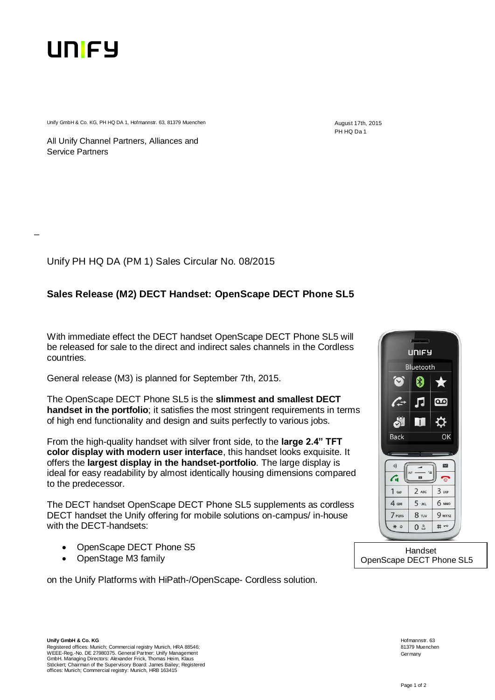

\_

Unify GmbH & Co. KG, PH HQ DA 1, Hofmannstr. 63, 81379 Muenchen August 17th, 2015

PH HQ Da 1

All Unify Channel Partners, Alliances and Service Partners

Unify PH HQ DA (PM 1) Sales Circular No. 08/2015

## **Sales Release (M2) DECT Handset: OpenScape DECT Phone SL5**

With immediate effect the DECT handset OpenScape DECT Phone SL5 will be released for sale to the direct and indirect sales channels in the Cordless countries.

General release (M3) is planned for September 7th, 2015.

The OpenScape DECT Phone SL5 is the **slimmest and smallest DECT handset in the portfolio**; it satisfies the most stringent requirements in terms of high end functionality and design and suits perfectly to various jobs.

From the high-quality handset with silver front side, to the **large 2.4" TFT color display with modern user interface**, this handset looks exquisite. It offers the **largest display in the handset-portfolio**. The large display is ideal for easy readability by almost identically housing dimensions compared to the predecessor.

The DECT handset OpenScape DECT Phone SL5 supplements as cordless DECT handset the Unify offering for mobile solutions on-campus/ in-house with the DECT-handsets:

- OpenScape DECT Phone S5
- OpenStage M3 family

on the Unify Platforms with HiPath-/OpenScape- Cordless solution.



Handset OpenScape DECT Phone SL5